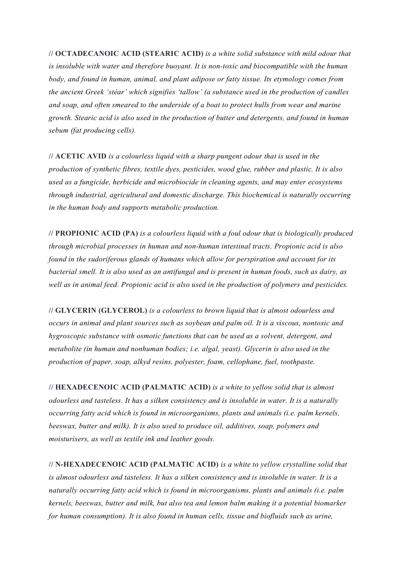**// OCTADECANOIC ACID (STEARIC ACID)** *is a white solid substance with mild odour that is insoluble with water and therefore buoyant. It is non-toxic and biocompatible with the human body, and found in human, animal, and plant adipose or fatty tissue. Its etymology comes from the ancient Greek 'stéar' which signifies 'tallow' (a substance used in the production of candles and soap, and often smeared to the underside of a boat to protect hulls from wear and marine growth. Stearic acid is also used in the production of butter and detergents, and found in human sebum (fat producing cells).*

**// ACETIC AVID** *is a colourless liquid with a sharp pungent odour that is used in the production of synthetic fibres, textile dyes, pesticides, wood glue, rubber and plastic. It is also used as a fungicide, herbicide and microbiocide in cleaning agents, and may enter ecosystems through industrial, agricultural and domestic discharge. This biochemical is naturally occurring in the human body and supports metabolic production.* 

**// PROPIONIC ACID (PA)** *is a colourless liquid with a foul odour that is biologically produced through microbial processes in human and non-human intestinal tracts. Propionic acid is also found in the sudoriferous glands of humans which allow for perspiration and account for its bacterial smell. It is also used as an antifungal and is present in human foods, such as dairy, as well as in animal feed. Propionic acid is also used in the production of polymers and pesticides.* 

**// GLYCERIN (GLYCEROL)** *is a colourless to brown liquid that is almost odourless and occurs in animal and plant sources such as soybean and palm oil. It is a viscous, nontoxic and hygroscopic substance with osmotic functions that can be used as a solvent, detergent, and metabolite (in human and nonhuman bodies; i.e. algal, yeast). Glycerin is also used in the production of paper, soap, alkyd resins, polyester, foam, cellophane, fuel, toothpaste.* 

**// HEXADECENOIC ACID (PALMATIC ACID)** *is a white to yellow solid that is almost odourless and tasteless. It has a silken consistency and is insoluble in water. It is a naturally occurring fatty acid which is found in microorganisms, plants and animals (i.e. palm kernels, beeswax, butter and milk). It is also used to produce oil, additives, soap, polymers and moisturisers, as well as textile ink and leather goods.* 

**// N-HEXADECENOIC ACID (PALMATIC ACID)** *is a white to yellow crystalline solid that is almost odourless and tasteless. It has a silken consistency and is insoluble in water. It is a naturally occurring fatty acid which is found in microorganisms, plants and animals (i.e. palm kernels, beeswax, butter and milk, but also tea and lemon balm making it a potential biomarker for human consumption). It is also found in human cells, tissue and biofluids such as urine,*